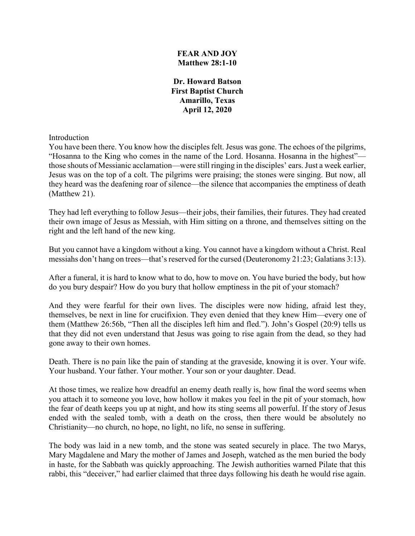### **FEAR AND JOY Matthew 28:1-10**

**Dr. Howard Batson First Baptist Church Amarillo, Texas April 12, 2020**

Introduction

You have been there. You know how the disciples felt. Jesus was gone. The echoes of the pilgrims, "Hosanna to the King who comes in the name of the Lord. Hosanna. Hosanna in the highest" those shouts of Messianic acclamation—were still ringing in the disciples' ears. Just a week earlier, Jesus was on the top of a colt. The pilgrims were praising; the stones were singing. But now, all they heard was the deafening roar of silence—the silence that accompanies the emptiness of death (Matthew 21).

They had left everything to follow Jesus—their jobs, their families, their futures. They had created their own image of Jesus as Messiah, with Him sitting on a throne, and themselves sitting on the right and the left hand of the new king.

But you cannot have a kingdom without a king. You cannot have a kingdom without a Christ. Real messiahs don't hang on trees—that's reserved for the cursed (Deuteronomy 21:23; Galatians 3:13).

After a funeral, it is hard to know what to do, how to move on. You have buried the body, but how do you bury despair? How do you bury that hollow emptiness in the pit of your stomach?

And they were fearful for their own lives. The disciples were now hiding, afraid lest they, themselves, be next in line for crucifixion. They even denied that they knew Him—every one of them (Matthew 26:56b, "Then all the disciples left him and fled."). John's Gospel (20:9) tells us that they did not even understand that Jesus was going to rise again from the dead, so they had gone away to their own homes.

Death. There is no pain like the pain of standing at the graveside, knowing it is over. Your wife. Your husband. Your father. Your mother. Your son or your daughter. Dead.

At those times, we realize how dreadful an enemy death really is, how final the word seems when you attach it to someone you love, how hollow it makes you feel in the pit of your stomach, how the fear of death keeps you up at night, and how its sting seems all powerful. If the story of Jesus ended with the sealed tomb, with a death on the cross, then there would be absolutely no Christianity—no church, no hope, no light, no life, no sense in suffering.

The body was laid in a new tomb, and the stone was seated securely in place. The two Marys, Mary Magdalene and Mary the mother of James and Joseph, watched as the men buried the body in haste, for the Sabbath was quickly approaching. The Jewish authorities warned Pilate that this rabbi, this "deceiver," had earlier claimed that three days following his death he would rise again.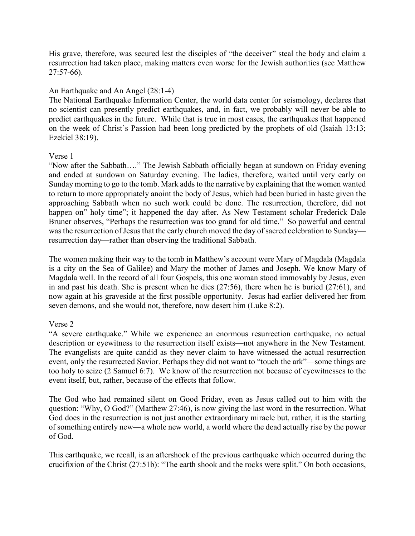His grave, therefore, was secured lest the disciples of "the deceiver" steal the body and claim a resurrection had taken place, making matters even worse for the Jewish authorities (see Matthew 27:57-66).

## An Earthquake and An Angel (28:1-4)

The National Earthquake Information Center, the world data center for seismology, declares that no scientist can presently predict earthquakes, and, in fact, we probably will never be able to predict earthquakes in the future. While that is true in most cases, the earthquakes that happened on the week of Christ's Passion had been long predicted by the prophets of old (Isaiah 13:13; Ezekiel 38:19).

#### Verse 1

"Now after the Sabbath…." The Jewish Sabbath officially began at sundown on Friday evening and ended at sundown on Saturday evening. The ladies, therefore, waited until very early on Sunday morning to go to the tomb. Mark adds to the narrative by explaining that the women wanted to return to more appropriately anoint the body of Jesus, which had been buried in haste given the approaching Sabbath when no such work could be done. The resurrection, therefore, did not happen on" holy time"; it happened the day after. As New Testament scholar Frederick Dale Bruner observes, "Perhaps the resurrection was too grand for old time." So powerful and central was the resurrection of Jesus that the early church moved the day of sacred celebration to Sunday resurrection day—rather than observing the traditional Sabbath.

The women making their way to the tomb in Matthew's account were Mary of Magdala (Magdala is a city on the Sea of Galilee) and Mary the mother of James and Joseph. We know Mary of Magdala well. In the record of all four Gospels, this one woman stood immovably by Jesus, even in and past his death. She is present when he dies (27:56), there when he is buried (27:61), and now again at his graveside at the first possible opportunity. Jesus had earlier delivered her from seven demons, and she would not, therefore, now desert him (Luke 8:2).

# Verse 2

"A severe earthquake." While we experience an enormous resurrection earthquake, no actual description or eyewitness to the resurrection itself exists—not anywhere in the New Testament. The evangelists are quite candid as they never claim to have witnessed the actual resurrection event, only the resurrected Savior. Perhaps they did not want to "touch the ark"—some things are too holy to seize (2 Samuel 6:7). We know of the resurrection not because of eyewitnesses to the event itself, but, rather, because of the effects that follow.

The God who had remained silent on Good Friday, even as Jesus called out to him with the question: "Why, O God?" (Matthew 27:46), is now giving the last word in the resurrection. What God does in the resurrection is not just another extraordinary miracle but, rather, it is the starting of something entirely new—a whole new world, a world where the dead actually rise by the power of God.

This earthquake, we recall, is an aftershock of the previous earthquake which occurred during the crucifixion of the Christ (27:51b): "The earth shook and the rocks were split." On both occasions,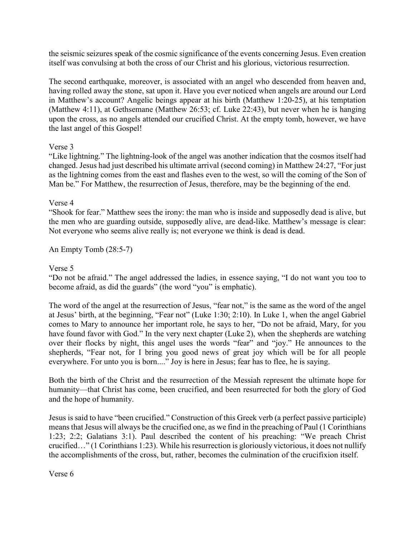the seismic seizures speak of the cosmic significance of the events concerning Jesus. Even creation itself was convulsing at both the cross of our Christ and his glorious, victorious resurrection.

The second earthquake, moreover, is associated with an angel who descended from heaven and, having rolled away the stone, sat upon it. Have you ever noticed when angels are around our Lord in Matthew's account? Angelic beings appear at his birth (Matthew 1:20-25), at his temptation (Matthew 4:11), at Gethsemane (Matthew 26:53; cf. Luke 22:43), but never when he is hanging upon the cross, as no angels attended our crucified Christ. At the empty tomb, however, we have the last angel of this Gospel!

### Verse 3

"Like lightning." The lightning-look of the angel was another indication that the cosmos itself had changed. Jesus had just described his ultimate arrival (second coming) in Matthew 24:27, "For just as the lightning comes from the east and flashes even to the west, so will the coming of the Son of Man be." For Matthew, the resurrection of Jesus, therefore, may be the beginning of the end.

### Verse 4

"Shook for fear." Matthew sees the irony: the man who is inside and supposedly dead is alive, but the men who are guarding outside, supposedly alive, are dead-like. Matthew's message is clear: Not everyone who seems alive really is; not everyone we think is dead is dead.

An Empty Tomb (28:5-7)

### Verse 5

"Do not be afraid." The angel addressed the ladies, in essence saying, "I do not want you too to become afraid, as did the guards" (the word "you" is emphatic).

The word of the angel at the resurrection of Jesus, "fear not," is the same as the word of the angel at Jesus' birth, at the beginning, "Fear not" (Luke 1:30; 2:10). In Luke 1, when the angel Gabriel comes to Mary to announce her important role, he says to her, "Do not be afraid, Mary, for you have found favor with God." In the very next chapter (Luke 2), when the shepherds are watching over their flocks by night, this angel uses the words "fear" and "joy." He announces to the shepherds, "Fear not, for I bring you good news of great joy which will be for all people everywhere. For unto you is born...." Joy is here in Jesus; fear has to flee, he is saying.

Both the birth of the Christ and the resurrection of the Messiah represent the ultimate hope for humanity—that Christ has come, been crucified, and been resurrected for both the glory of God and the hope of humanity.

Jesus is said to have "been crucified." Construction of this Greek verb (a perfect passive participle) means that Jesus will always be the crucified one, as we find in the preaching of Paul (1 Corinthians 1:23; 2:2; Galatians 3:1). Paul described the content of his preaching: "We preach Christ crucified…" (1 Corinthians 1:23). While his resurrection is gloriously victorious, it does not nullify the accomplishments of the cross, but, rather, becomes the culmination of the crucifixion itself.

Verse 6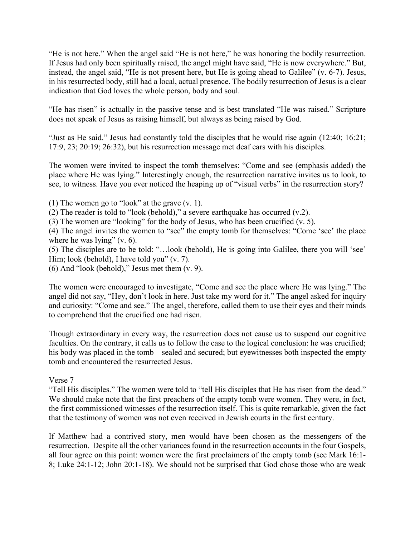"He is not here." When the angel said "He is not here," he was honoring the bodily resurrection. If Jesus had only been spiritually raised, the angel might have said, "He is now everywhere." But, instead, the angel said, "He is not present here, but He is going ahead to Galilee" (v. 6-7). Jesus, in his resurrected body, still had a local, actual presence. The bodily resurrection of Jesus is a clear indication that God loves the whole person, body and soul.

"He has risen" is actually in the passive tense and is best translated "He was raised." Scripture does not speak of Jesus as raising himself, but always as being raised by God.

"Just as He said." Jesus had constantly told the disciples that he would rise again (12:40; 16:21; 17:9, 23; 20:19; 26:32), but his resurrection message met deaf ears with his disciples.

The women were invited to inspect the tomb themselves: "Come and see (emphasis added) the place where He was lying." Interestingly enough, the resurrection narrative invites us to look, to see, to witness. Have you ever noticed the heaping up of "visual verbs" in the resurrection story?

(1) The women go to "look" at the grave (v. 1).

(2) The reader is told to "look (behold)," a severe earthquake has occurred (v.2).

(3) The women are "looking" for the body of Jesus, who has been crucified (v. 5).

(4) The angel invites the women to "see" the empty tomb for themselves: "Come 'see' the place where he was lying" (v. 6).

(5) The disciples are to be told: "…look (behold), He is going into Galilee, there you will 'see' Him; look (behold), I have told you" (v. 7).

(6) And "look (behold)," Jesus met them (v. 9).

The women were encouraged to investigate, "Come and see the place where He was lying." The angel did not say, "Hey, don't look in here. Just take my word for it." The angel asked for inquiry and curiosity: "Come and see." The angel, therefore, called them to use their eyes and their minds to comprehend that the crucified one had risen.

Though extraordinary in every way, the resurrection does not cause us to suspend our cognitive faculties. On the contrary, it calls us to follow the case to the logical conclusion: he was crucified; his body was placed in the tomb—sealed and secured; but eyewitnesses both inspected the empty tomb and encountered the resurrected Jesus.

#### Verse 7

"Tell His disciples." The women were told to "tell His disciples that He has risen from the dead." We should make note that the first preachers of the empty tomb were women. They were, in fact, the first commissioned witnesses of the resurrection itself. This is quite remarkable, given the fact that the testimony of women was not even received in Jewish courts in the first century.

If Matthew had a contrived story, men would have been chosen as the messengers of the resurrection. Despite all the other variances found in the resurrection accounts in the four Gospels, all four agree on this point: women were the first proclaimers of the empty tomb (see Mark 16:1- 8; Luke 24:1-12; John 20:1-18). We should not be surprised that God chose those who are weak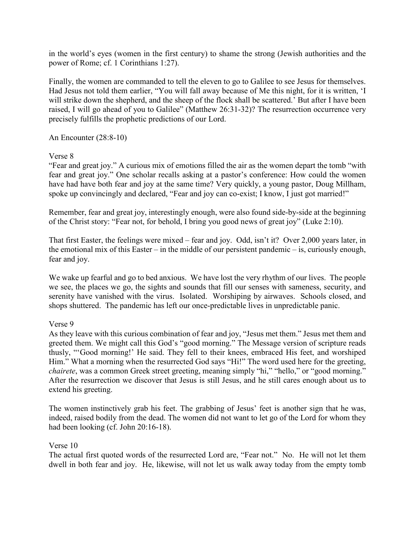in the world's eyes (women in the first century) to shame the strong (Jewish authorities and the power of Rome; cf. 1 Corinthians 1:27).

Finally, the women are commanded to tell the eleven to go to Galilee to see Jesus for themselves. Had Jesus not told them earlier, "You will fall away because of Me this night, for it is written, 'I will strike down the shepherd, and the sheep of the flock shall be scattered.' But after I have been raised, I will go ahead of you to Galilee" (Matthew 26:31-32)? The resurrection occurrence very precisely fulfills the prophetic predictions of our Lord.

An Encounter (28:8-10)

### Verse 8

"Fear and great joy." A curious mix of emotions filled the air as the women depart the tomb "with fear and great joy." One scholar recalls asking at a pastor's conference: How could the women have had have both fear and joy at the same time? Very quickly, a young pastor, Doug Millham, spoke up convincingly and declared, "Fear and joy can co-exist; I know, I just got married!"

Remember, fear and great joy, interestingly enough, were also found side-by-side at the beginning of the Christ story: "Fear not, for behold, I bring you good news of great joy" (Luke 2:10).

That first Easter, the feelings were mixed – fear and joy. Odd, isn't it? Over 2,000 years later, in the emotional mix of this Easter – in the middle of our persistent pandemic – is, curiously enough, fear and joy.

We wake up fearful and go to bed anxious. We have lost the very rhythm of our lives. The people we see, the places we go, the sights and sounds that fill our senses with sameness, security, and serenity have vanished with the virus. Isolated. Worshiping by airwaves. Schools closed, and shops shuttered. The pandemic has left our once-predictable lives in unpredictable panic.

# Verse 9

As they leave with this curious combination of fear and joy, "Jesus met them." Jesus met them and greeted them. We might call this God's "good morning." The Message version of scripture reads thusly, "'Good morning!' He said. They fell to their knees, embraced His feet, and worshiped Him." What a morning when the resurrected God says "Hi!" The word used here for the greeting, *chairete*, was a common Greek street greeting, meaning simply "hi," "hello," or "good morning." After the resurrection we discover that Jesus is still Jesus, and he still cares enough about us to extend his greeting.

The women instinctively grab his feet. The grabbing of Jesus' feet is another sign that he was, indeed, raised bodily from the dead. The women did not want to let go of the Lord for whom they had been looking (cf. John 20:16-18).

#### Verse 10

The actual first quoted words of the resurrected Lord are, "Fear not." No. He will not let them dwell in both fear and joy. He, likewise, will not let us walk away today from the empty tomb